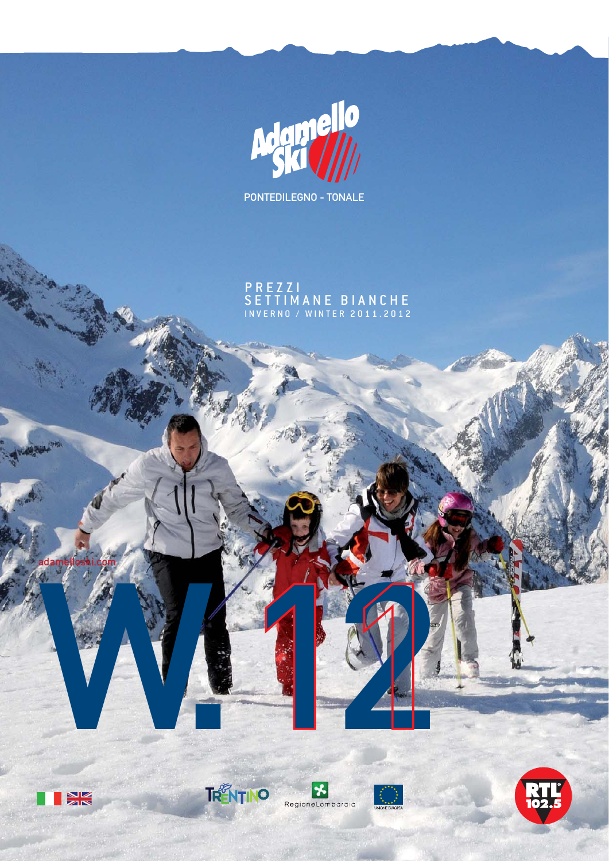

PONTEDILEGNO - TONALE

P R E Z Z I SETTIMANE BIANCHE INVERNO / WINTER 2011.2012

adamelloski.com

**PHB** 





W.121

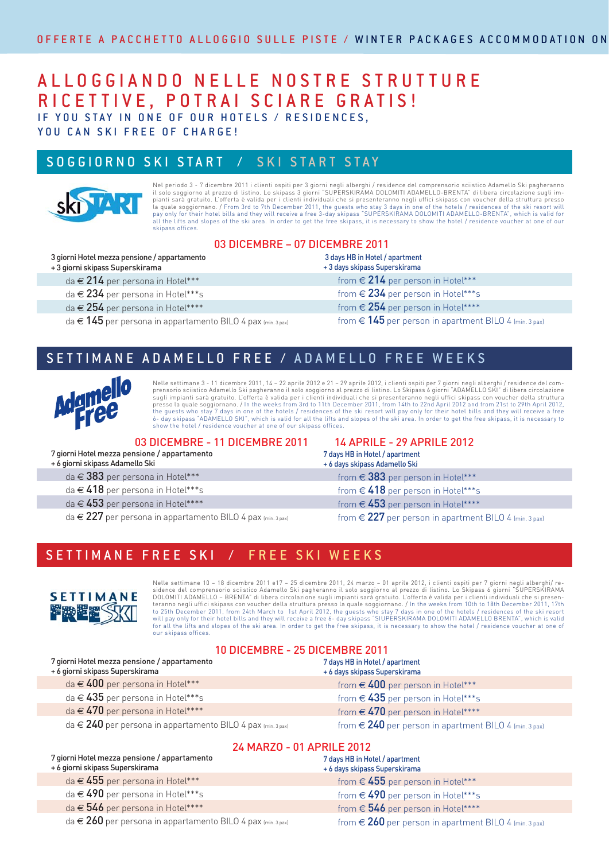## A L L O G G I A N D O N E L L E N O S T R E S T R U T T U R E RICETTIVE, POTRAI SCIARE GRATIS! IF YOU STAY IN ONE OF OUR HOTELS / RESIDENCES,

YOU CAN SKI FREE OF CHARGE!

### SOGGIORNO SKI START / SKI START STAY



Nel periodo 3 - 7 dicembre 2011 i clienti ospiti per 3 giorni negli alberghi / residence del comprensorio sciistico Adamello Ski pagheranno<br>il solo soggiorno al prezzo di listino. Lo skipass 3 giorni "SUPERSKIRAMA DOLOMITI la quale soggiornano. / From 3rd to 7th December 2011, the guests who stay 3 days in one of the hotels / residences of the ski resort will<br>pay only for their hotel bills and they will receive a free 3-day skipass "SUPERSKI skipass offices.

### 03 DICEMBRE – 07 DICEMBRE 2011

|  | 3 giorni Hotel mezza pensione / appartamento |
|--|----------------------------------------------|
|  |                                              |

+ 3 giorni skipass Superskirama

da  $\in$  214 per persona in Hotel\*\*\*

da € 234 per persona in Hotel\*\*\*s

da € 254 per persona in Hotel\*\*\*\*

 $da \in 145$  per persona in appartamento BILO 4 pax (min. 3 pax)

| EMDRE ZUTT                                                      |
|-----------------------------------------------------------------|
| 3 days HB in Hotel / apartment<br>+ 3 days skipass Superskirama |
| from $\in$ 214 per person in Hotel***                           |
| from $\in$ 234 per person in Hotel***s                          |
| from $\in$ 254 per person in Hotel****                          |
| from $\in$ 145 per person in apartment BILO 4 (min. 3 pa        |

### SETTIMANE ADAMELLO FREE / ADAMELLO FREE WEEKS



Nelle settimane 3 - 11 dicembre 2011, 14 – 22 aprile 2012 e 21 – 29 aprile 2012, i clienti ospiti per 7 giorni negli alberghi / residence del comprensorio sciistico Adamello Ski pagheranno il solo soggiorno al prezzo di listino. Lo Skipass 6 giorni "ADAMELLO SKI" di libera circolazione sugli impianti sarà gratuito. L'offerta è valida per i clienti individuali che si presenteranno negli uffici skipass con voucher della struttura<br>presso la quale soggiornano. / In the weeks from 3rd to 11th December 2011, f the guests who stay 7 days in one of the hotels / residences of the ski resort will pay only for their hotel bills and they will receive a free<br>6- day skipass "ADAMELLO SKI", which is valid for all the lifts and slopes of show the hotel / residence voucher at one of our skipass offices.

#### 03 DICEMBRE - 11 DICEMBRE 2011 14 APRILE - 29 APRILE 2012

7 giorni Hotel mezza pensione / appartamento

+ 6 giorni skipass Adamello Ski

- da € 383 per persona in Hotel\*\*\*
- da € 418 per persona in Hotel\*\*\*s
- da  $\in$  453 per persona in Hotel\*\*\*\*
- da  $\in$  227 per persona in appartamento BILO 4 pax (min. 3 pax)

7 days HB in Hotel / apartment

+ 6 days skipass Adamello Ski from  $\in$  383 per person in Hotel\*\*\*

from  $\in$  418 per person in Hotel\*\*\*s

from  $\in$  453 per person in Hotel\*\*\*\*

from  $\in$  227 per person in apartment BILO 4 (min. 3 pax)

## SETTIMANE FREE SKI / FREE SKI WEEKS



Nelle settimane 10 – 18 dicembre 2011 e17 – 25 dicembre 2011, 24 marzo – 01 aprile 2012, i clienti ospiti per 7 giorni negli alberghi/ residence del comprensorio sciistico Adamello Ski pagheranno il solo soggiorno al prezzo di listino. Lo Skipass 6 giorni "SUPERSKIRAMA<br>DOLOMITI ADAMELLO – BRENTA" di libera circolazione sugli impianti sarà gratuito. L'offert teranno negli uffici skipass con voucher della struttura presso la quale soggiornano. / In the weeks from 10th to 18th December 2011, 17th<br>to 25th December 2011, from 24th March to 1st April 2012, the guests who stay 7 da will pay only for their hotel bills and they will receive a free 6- day skipass "SIUPERSKIRAMA DOLOMITI ADAMELLO BRENTA", which is valid<br>for all the lifts and slopes of the ski area. In order to get the free skipass, it is our skipass offices.

#### 10 DICEMBRE - 25 DICEMBRE 2011

| 7 giorni Hotel mezza pensione / appartamento<br>+ 6 giorni skipass Superskirama | 7 days HB in Hotel / apartment<br>+ 6 days skipass Superskirama |
|---------------------------------------------------------------------------------|-----------------------------------------------------------------|
| da $\in$ 400 per persona in Hotel***                                            | from $\in$ 400 per person in Hotel***                           |
| da $\in$ 435 per persona in Hotel***s                                           | from $\in$ 435 per person in Hotel***s                          |
| da $\in$ 470 per persona in Hotel****                                           | from $\in$ 470 per person in Hotel****                          |
| da $\in$ 240 per persona in appartamento BILO 4 pax $_{\sf (min.3\,pas)}$       | from $\in$ 240 per person in apartment BILO 4 (min. 3 pax)      |

#### 24 MARZO - 01 APRILE 2012

| 7 giorni Hotel mezza pensione / appartamento<br>+ 6 giorni skipass Superskirama | 7 days HB in Hotel / apartment<br>+ 6 days skipass Superskirama |  |
|---------------------------------------------------------------------------------|-----------------------------------------------------------------|--|
| da $\in$ 455 per persona in Hotel***                                            | from $\in$ 455 per person in Hotel***                           |  |
| da $\in$ 490 per persona in Hotel***s                                           | from $\in$ 490 per person in Hotel***s                          |  |
| da $\in$ 546 per persona in Hotel****                                           | from $\in$ 546 per person in Hotel****                          |  |
| da $\in$ 260 per persona in appartamento BILO 4 pax (min. 3 pax)                | from $\in$ 260 per person in apartment BILO 4 (min. 3 pax)      |  |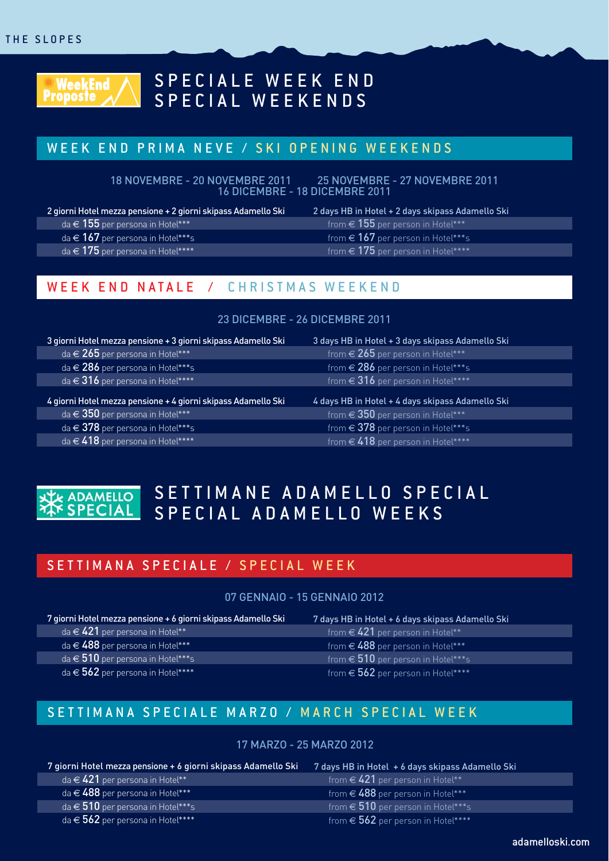

# SPECIALE WEEK END SPECIAL WEEKENDS

### WEEK END PRIMA NEVE / SKI OPENING WEEKENDS

18 NOVEMBRE - 20 NOVEMBRE 2011 25 NOVEMBRE - 27 NOVEMBRE 2011 16 DICEMBRE - 18 DICEMBRE 2011

2 giorni Hotel mezza pensione + 2 giorni skipass Adamello Ski

- da  $\in$  155 per persona in Hotel\*\*\*
- da  $\in$  167 per persona in Hotel\*\*\*s

da  $\in$  175 per persona in Hotel\*\*\*\*

2 days HB in Hotel + 2 days skipass Adamello Ski

- from  $\in$  155 per person in Hotel\*\*\* from  $\in$  167 per person in Hotel\*\*\*s
	- from  $\in$  175 per person in Hotel\*\*\*\*

## WEEK END NATALE / CHRISTMAS WEEKEND

#### 23 DICEMBRE - 26 DICEMBRE 2011

| 3 giorni Hotel mezza pensione + 3 giorni skipass Adamello Ski | 3 days HB in Hotel + 3 days skipass Adamello Ski |
|---------------------------------------------------------------|--------------------------------------------------|
| da $\in$ 265 per persona in Hotel***                          | from $\in$ 265 per person in Hotel***            |
| da $\in$ 286 per persona in Hotel***s                         | from $\in$ 286 per person in Hotel***s           |
| da $\in$ 316 per persona in Hotel****                         | from $\in$ 316 per person in Hotel****           |
|                                                               |                                                  |
| 4 giorni Hotel mezza pensione + 4 giorni skipass Adamello Ski | 4 days HB in Hotel + 4 days skipass Adamello Ski |
| da $\in$ 350 per persona in Hotel***                          | from $\in$ 350 per person in Hotel***            |
| da $\in$ 378 per persona in Hotel***s                         | from $\in$ 378 per person in Hotel***s           |
| da $\in$ 418 per persona in Hotel****                         | from $\in$ 418 per person in Hotel****           |



# SETTIMANE ADAMELLO SPECIAL SPECIAL ADAMELLO WEEKS

### SETTIMANA SPECIALE / SPECIAL WEEK

#### 07 GENNAIO - 15 GENNAIO 2012

| 7 giorni Hotel mezza pensione + 6 giorni skipass Adamello Ski | 7 d |
|---------------------------------------------------------------|-----|
| da $\in$ 421 per persona in Hotel**                           |     |
| da $\in$ 488 per persona in Hotel***                          |     |
| da $\in$ 510 per persona in Hotel***s                         |     |
| da $\in$ 562 per persona in Hotel****                         |     |

lays HB in Hotel + 6 days skipass Adamello Ski from  $\in$  421 per person in Hotel\*\* from  $\in$  488 per person in Hotel\*\*\* from  $\epsilon$  510 per person in Hotel\*\*\*s from  $\in$  562 per person in Hotel\*\*\*\*

## SETTIMANA SPECIALE MARZO / MARCH SPECIAL WEEK

#### 17 MARZO - 25 MARZO 2012

| 7 giorni Hotel mezza pensione + 6 giorni skipass Adamello Ski | 7 days HB in Hotel + 6 days skipass Adamello Ski |
|---------------------------------------------------------------|--------------------------------------------------|
| da $\in$ 421 per persona in Hotel** $^*$                      | from $\in$ 421 per person in Hotel**             |
| $da \in 488$ per persona in Hotel***                          | from $\in$ 488 per person in Hotel***            |
| da $\in$ 510 per persona in Hotel***s                         | from $\in$ 510 per person in Hotel***s           |
| da $\in$ 562 per persona in Hotel****                         | from $\in$ 562 per person in Hotel****           |